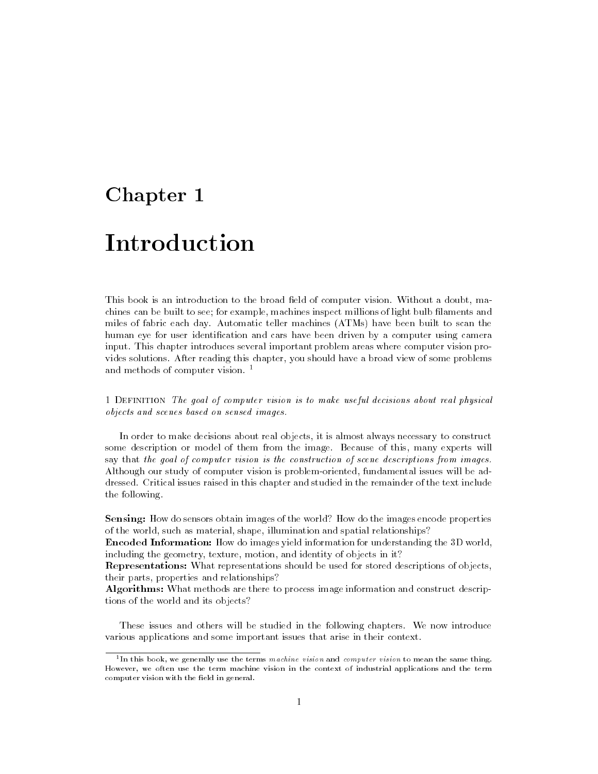# Chapter 1

# Introduction

This book is an introduction to the broad field of computer vision. Without a doubt, machines can be built to see; for example, machines inspect millions of light bulb filaments and miles of fabric each day. Automatic teller machines (ATMs) have been built to scan the human eye for user identification and cars have been driven by a computer using camera input. This chapter introduces several important problem areas where computer vision provides solutions. After reading this chapter, you should have a broad view of some problems and methods of computer vision.<sup>1</sup>

1 Definition The goal of computer vision is to make useful decisions about real physical objects and scenes based on sensed images.

In order to make decisions about real objects, it is almost always necessary to construct some description or model of them from the image. Because of this, many experts will say that the goal of computer vision is the construction of scene descriptions from images. Although our study of computer vision is problem-oriented, fundamental issues will be addressed. Critical issues raised in this chapter and studied in the remainder of the text include the following.

Sensing: How do sensors obtain images of the world? How do the images encode properties of the world, such as material, shape, illumination and spatial relationships?

Encoded Information: How do images yield information for understanding the 3D world, including the geometry, texture, motion, and identity of objects in it?

Representations: What representations should be used for stored descriptions of objects, their parts, properties and relationships?

Algorithms: What methods are there to process image information and construct descriptions of the world and its objects?

These issues and others will be studied in the following chapters. We now introduce various applications and some important issues that arise in their context.

 $\cdot$  In this book, we generally use the terms  $\it{max}$   $\it{max}$  and  $\it{conv}$   $\it{iter}$   $\it{vision}$  to mean the same thing. However, we often use the term machine vision in the context of industrial applications and the termcomputer vision with the field in general.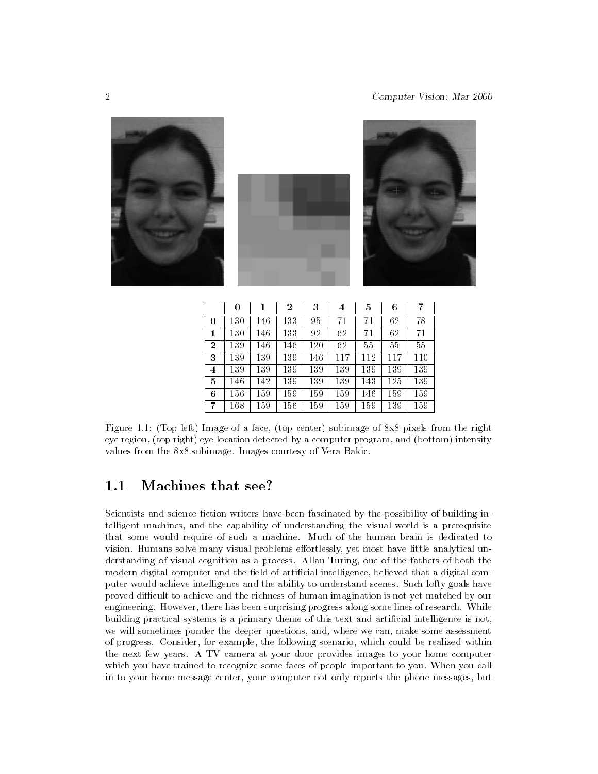

|   | 0        |     | 2   | 3   | 4   | 5   | 6   | 7   |
|---|----------|-----|-----|-----|-----|-----|-----|-----|
| 0 | 130      | 146 | 133 | 95  | 71  | 71  | 62  | 78  |
| 1 | 130      | 146 | 133 | 92  | 62  | 71  | 62  | 71  |
| 2 | 139      | 146 | 146 | 120 | 62  | 55  | 55  | 55  |
| 3 | 139      | 139 | 139 | 146 | 117 | 112 | 117 | 110 |
| 4 | 139      | 139 | 139 | 139 | 139 | 139 | 139 | 139 |
| 5 | 146      | 142 | 139 | 139 | 139 | 143 | 125 | 139 |
| 6 | 156      | 159 | 159 | 159 | 159 | 146 | 159 | 159 |
| 7 | $^{168}$ | 159 | 156 | 159 | 159 | 159 | 139 | 159 |

Figure 1.1: (Top left) Image of a face, (top center) subimage of 8x8 pixels from the right eye region, (top right) eye location detected by a computer program, and (bottom) intensity values from the 8x8 subimage. Images courtesy of Vera Bakic.

#### $1.1$ Machines that see?

Scientists and science fiction writers have been fascinated by the possibility of building intelligent machines, and the capability of understanding the visual world is a prerequisite that some would require of such a machine. Much of the human brain is dedicated to vision. Humans solve many visual problems effortlessly, yet most have little analytical understanding of visual cognition as a process. Allan Turing, one of the fathers of both the modern digital computer and the field of artificial intelligence, believed that a digital computer would achieve intelligence and the ability to understand scenes. Such lofty goals have proved difficult to achieve and the richness of human imagination is not yet matched by our engineering. However, there has been surprising progress along some lines of research. While building practical systems is a primary theme of this text and artificial intelligence is not, we will sometimes ponder the deeper questions, and, where we can, make some assessment of progress. Consider, for example, the following scenario, which could be realized within the next few years. A TV camera at your door provides images to your home computer which you have trained to recognize some faces of people important to you. When you call in to your home message center, your computer not only reports the phone messages, but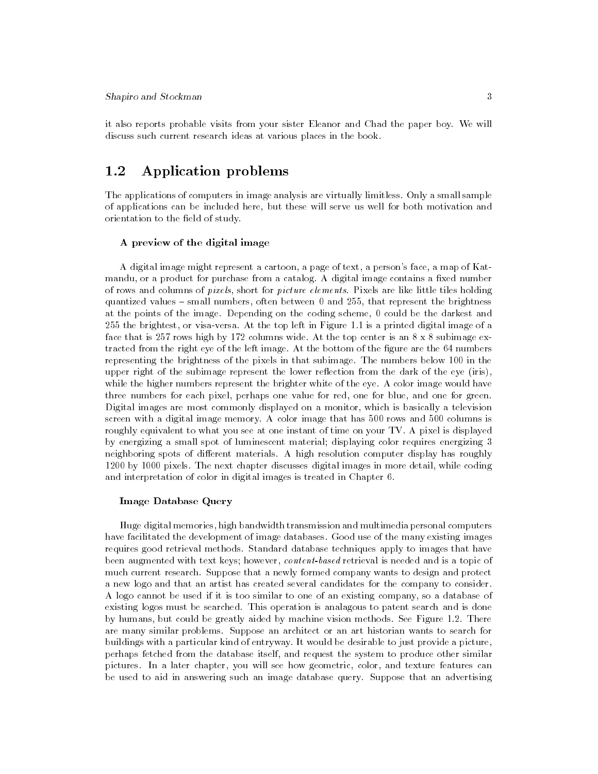it also reports probable visits from your sister Eleanor and Chad the paper boy. We will discuss such current research ideas at various places in the book.

# 1.2 Application problems

The applications of computers in image analysis are virtually limitless. Only a small sample of applications can be included here, but these will serve us well for both motivation and orientation to the field of study.

#### A preview of the digital image

A digital image might represent a cartoon, a page of text, a person's face, a map of Katmandu, or a product for purchase from a catalog. A digital image contains a fixed number of rows and columns of pixels, short for picture elements. Pixels are like little tiles holding quantized values  $-$  small numbers, often between 0 and 255, that represent the brightness at the points of the image. Depending on the coding scheme, 0 could be the darkest and 255 the brightest, or visa-versa. At the top left in Figure 1.1 is a printed digital image of a face that is 257 rows high by 172 columns wide. At the top center is an  $8 \times 8$  subimage extracted from the right eye of the left image. At the bottom of the figure are the 64 numbers representing the brightness of the pixels in that subimage. The numbers below 100 in the upper right of the subimage represent the lower reflection from the dark of the eye (iris), while the higher numbers represent the brighter white of the eye. A color image would have three numbers for each pixel, perhaps one value for red, one for blue, and one for green. Digital images are most commonly displayed on a monitor, which is basically a television screen with a digital image memory. A color image that has 500 rows and 500 columns is roughly equivalent to what you see at one instant of time on your TV. A pixel is displayed by energizing a small spot of luminescent material; displaying color requires energizing 3 neighboring spots of different materials. A high resolution computer display has roughly 1200 by 1000 pixels. The next chapter discusses digital images in more detail, while coding and interpretation of color in digital images is treated in Chapter 6.

#### Image Database Query

Huge digital memories, high bandwidth transmission and multimedia personal computers have facilitated the development of image databases. Good use of the many existing images requires good retrieval methods. Standard database techniques apply to images that have been augmented with text keys; however, content-based retrieval is needed and is a topic of much current research. Suppose that a newly formed company wants to design and protect a new logo and that an artist has created several candidates for the company to consider. A logo cannot be used if it is too similar to one of an existing company, so a database of existing logos must be searched. This operation is analagous to patent search and is done by humans, but could be greatly aided by machine vision methods. See Figure 1.2. There are many similar problems. Suppose an architect or an art historian wants to search for buildings with a particular kind of entryway. It would be desirable to just provide a picture, perhaps fetched from the database itself, and request the system to produce other similar pictures. In a later chapter, you will see how geometric, color, and texture features can be used to aid in answering such an image database query. Suppose that an advertising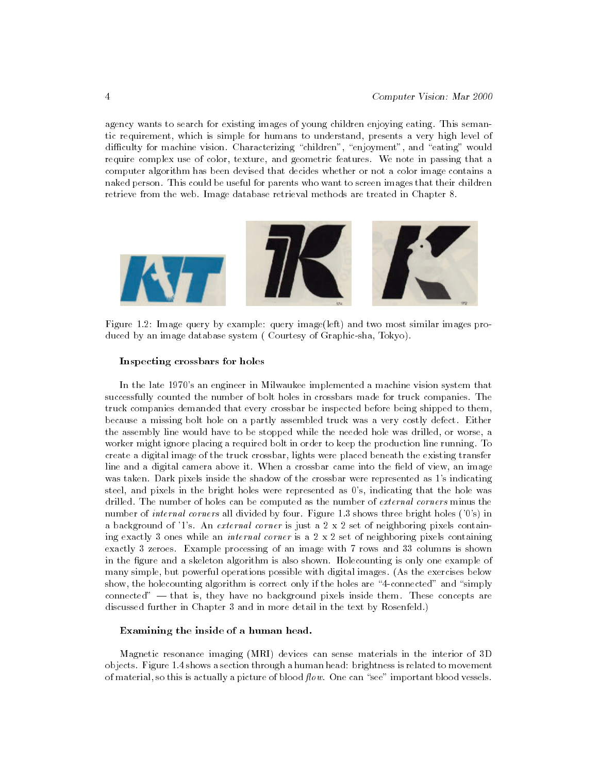agency wants to search for existing images of young children enjoying eating. This semantic requirement, which is simple for humans to understand, presents a very high level of difficulty for machine vision. Characterizing "children", "enjoyment", and "eating" would require complex use of color, texture, and geometric features. We note in passing that a computer algorithm has been devised that decides whether or not a color image contains a naked person. This could be useful for parents who want to screen images that their children retrieve from the web. Image database retrieval methods are treated in Chapter 8.



Figure 1.2: Image query by example: query image(left) and two most similar images produced by an image database system ( Courtesy of Graphic-sha, Tokyo).

#### Inspecting crossbars for holes

In the late 1970's an engineer in Milwaukee implemented a machine vision system that successfully counted the number of bolt holes in crossbars made for truck companies. The truck companies demanded that every crossbar be inspected before being shipped to them, because a missing bolt hole on a partly assembled truck was a very costly defect. Either the assembly line would have to be stopped while the needed hole was drilled, or worse, a worker might ignore placing a required bolt in order to keep the production line running. To create a digital image of the truck crossbar, lights were placed beneath the existing transfer line and a digital camera above it. When a crossbar came into the field of view, an image was taken. Dark pixels inside the shadow of the crossbar were represented as 1's indicating steel, and pixels in the bright holes were represented as 0's, indicating that the hole was drilled. The number of holes can be computed as the number of external corners minus the number of *internal corners* all divided by four. Figure 1.3 shows three bright holes ('0's) in a background of '1's. An *external corner* is just a  $2 \times 2$  set of neighboring pixels containing exactly 3 ones while an *internal corner* is a  $2 \times 2$  set of neighboring pixels containing exactly 3 zeroes. Example processing of an image with 7 rows and 33 columns is shown in the figure and a skeleton algorithm is also shown. Holecounting is only one example of many simple, but powerful operations possible with digital images. (As the exercises below show, the holecounting algorithm is correct only if the holes are "4-connected" and "simply connected"  $-$  that is, they have no background pixels inside them. These concepts are discussed further in Chapter 3 and in more detail in the text by Rosenfeld.)

#### Examining the inside of a human head.

Magnetic resonance imaging (MRI) devices can sense materials in the interior of 3D objects. Figure 1.4 shows a section through a human head: brightness is related to movement of material, so this is actually a picture of blood  $flow$ . One can "see" important blood vessels.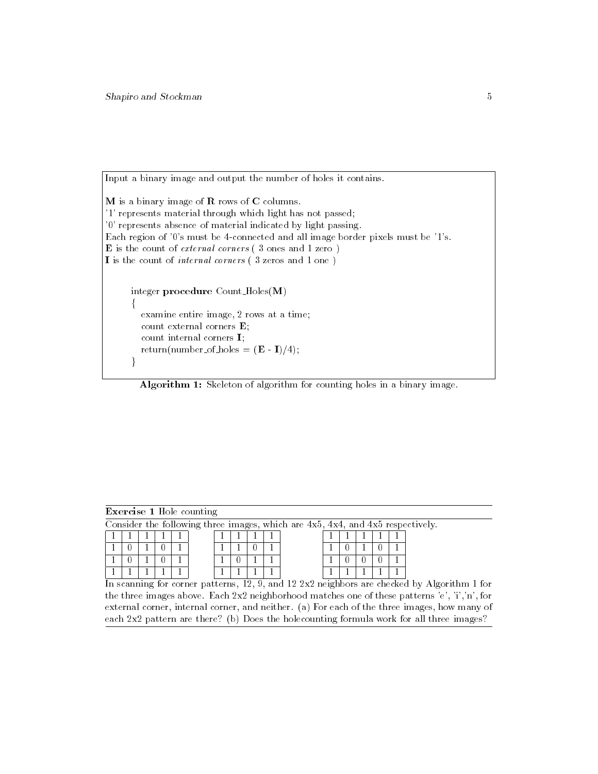Input a binary image and output the number of holes it contains.

M is a binary image of R rows of C columns. '1' represents material through which light has not passed; '0' represents absence of material indicated by light passing. Each region of '0's must be 4-connected and all image border pixels must be '1's. E is the count of *external corners* (3 ones and 1 zero) I is the count of internal corners ( 3 zeros and 1 one ) integer procedure Count Holes(M)  $\mathcal{L}$ examine entire image, 2 rows at a time; count external corners E;

```
count internal corners I;
   return(number_of_holes = (\mathbf{E} - \mathbf{I})/4);
\mathcal{E}
```
Algorithm 1: Skeleton of algorithm for counting holes in a binary image.

| <b>Exercise 1 Hole counting</b>                                                |  |  |  |  |  |  |  |  |  |  |  |  |  |  |  |
|--------------------------------------------------------------------------------|--|--|--|--|--|--|--|--|--|--|--|--|--|--|--|
| Consider the following three images, which are 4x5, 4x4, and 4x5 respectively. |  |  |  |  |  |  |  |  |  |  |  |  |  |  |  |
|                                                                                |  |  |  |  |  |  |  |  |  |  |  |  |  |  |  |
|                                                                                |  |  |  |  |  |  |  |  |  |  |  |  |  |  |  |
|                                                                                |  |  |  |  |  |  |  |  |  |  |  |  |  |  |  |
|                                                                                |  |  |  |  |  |  |  |  |  |  |  |  |  |  |  |

In scanning for corner patterns, 12, 9, and 12 2x2 neighbors are checked by Algorithm 1 for the three images above. Each  $2x^2$  neighborhood matches one of these patterns 'e', 'i','n', for external corner, internal corner, and neither. (a) For each of the three images, how many of each 2x2 pattern are there? (b) Does the holecounting formula work for all three images?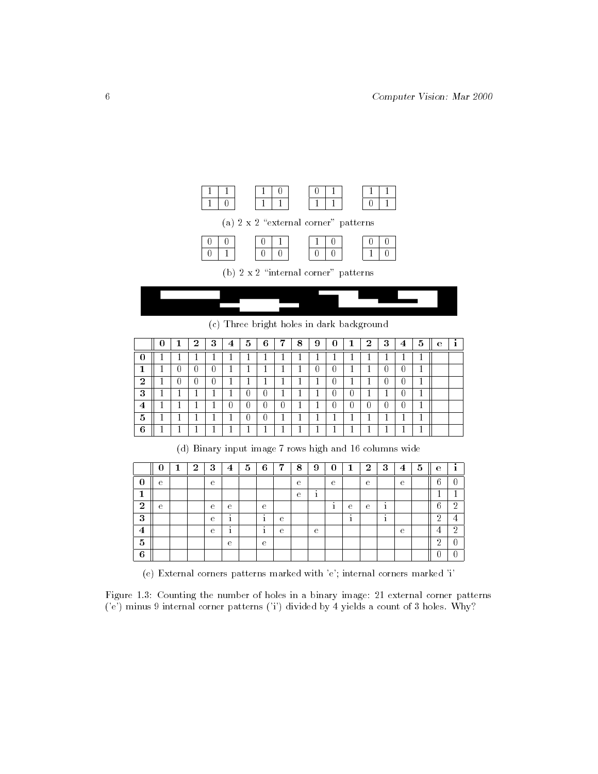

(c) Three bright holes in dark background

|                | U | T      | $\bf{2}$ | 3 | 4 | 5  | 6  | 7      | 8      | 9      | U | 2 | 3 | $\overline{4}$ | 5  | е |  |
|----------------|---|--------|----------|---|---|----|----|--------|--------|--------|---|---|---|----------------|----|---|--|
| U              |   |        |          |   |   |    |    |        | ┻      |        |   |   |   |                |    |   |  |
| 1              |   |        |          | 0 |   |    | л. |        | ட      |        | n |   |   | U              | ட  |   |  |
| $\bf{2}$       |   |        |          | U | ட | ш. | ட  | ┻      | ட      | л.     |   |   | U | U              | л. |   |  |
| 3              |   | ட      |          |   |   |    | 0  | ட      | ட      |        |   |   |   | O              |    |   |  |
| $\overline{4}$ |   | ட      |          |   | U |    |    | U      | ட      |        |   |   |   | U              |    |   |  |
| 5              | ட | м<br>ட | и<br>┻   |   |   | U  | U  | и<br>ட | ×<br>ட | и<br>ட |   |   | и | ட              | м  |   |  |
| 6              |   |        |          |   |   |    |    |        | ட      |        |   |   |   |                |    |   |  |

(d) Binary input image 7 rows high and 16 columns wide

|                | O | J. | $\bf{2}$ | 3            | $\overline{\mathbf{4}}$ | 5 | 6                    | $\overline{ }$ | 8 | 9       | $\boldsymbol{0}$ | 1<br>┻ | $\bf{2}$ | 3                          | 4 | 5 | е        |                |
|----------------|---|----|----------|--------------|-------------------------|---|----------------------|----------------|---|---------|------------------|--------|----------|----------------------------|---|---|----------|----------------|
| υ              | e |    |          | e            |                         |   |                      |                | e |         | е                |        | e        |                            | e |   |          |                |
|                |   |    |          |              |                         |   |                      |                | е | ٠<br>÷. |                  |        |          |                            |   |   |          |                |
| $\overline{2}$ | e |    |          | $\mathbf{e}$ | е                       |   | е                    |                |   |         | ٠                | е      | e        | $\ddot{\phantom{1}}$<br>л. |   |   | e        | $\Omega$<br>۰. |
| 3              |   |    |          | e            | $\cdot$                 |   | $\cdot$              | е              |   |         |                  | ٠      |          | $\ddot{\phantom{1}}$       |   |   | റ        |                |
| $\overline{4}$ |   |    |          | e            | $\cdot$                 |   | $\ddot{\phantom{1}}$ | е              |   | e       |                  |        |          |                            | e |   |          | $\Omega$<br>▵  |
| 5              |   |    |          |              | е                       |   | е                    |                |   |         |                  |        |          |                            |   |   | $\Omega$ |                |
| 6              |   |    |          |              |                         |   |                      |                |   |         |                  |        |          |                            |   |   |          |                |

(e) External corners patterns marked with 'e'; internal corners marked 'i'

Figure 1.3: Counting the number of holes in a binary image: 21 external corner patterns ('e') minus 9 internal corner patterns ('i') divided by 4 yields a count of 3 holes. Why?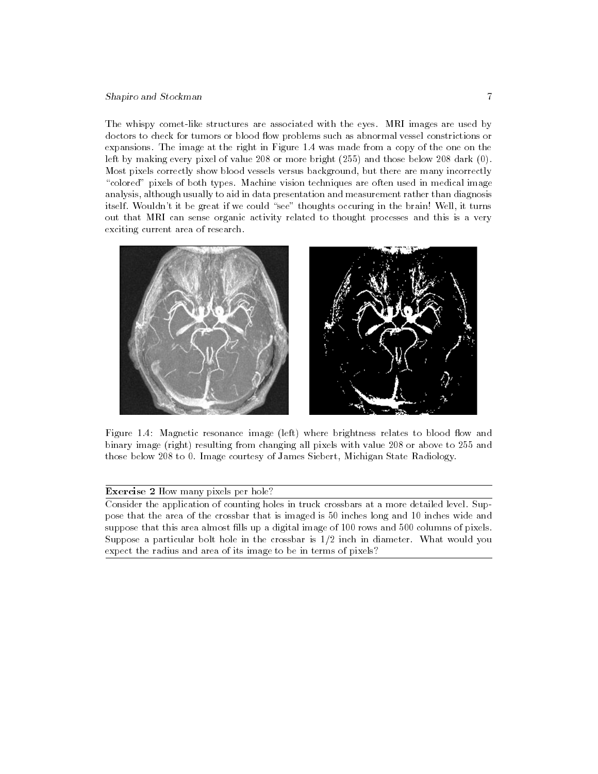#### Shapiro and Stockman 7

The whispy comet-like structures are associated with the eyes. MRI images are used by doctors to check for tumors or blood flow problems such as abnormal vessel constrictions or expansions. The image at the right in Figure 1.4 was made from a copy of the one on the left by making every pixel of value 208 or more bright (255) and those below 208 dark (0). Most pixels correctly show blood vessels versus background, but there are many incorrectly "colored" pixels of both types. Machine vision techniques are often used in medical image analysis, although usually to aid in data presentation and measurement rather than diagnosis itself. Wouldn't it be great if we could "see" thoughts occuring in the brain! Well, it turns out that MRI can sense organic activity related to thought processes and this is a very exciting current area of research.



Figure 1.4: Magnetic resonance image (left) where brightness relates to blood flow and binary image (right) resulting from changing all pixels with value 208 or above to 255 and those below 208 to 0. Image courtesy of James Siebert, Michigan State Radiology.

## Exercise 2 How many pixels per hole?

Consider the application of counting holes in truck crossbars at a more detailed level. Suppose that the area of the crossbar that is imaged is 50 inches long and 10 inches wide and suppose that this area almost fills up a digital image of 100 rows and 500 columns of pixels. Suppose a particular bolt hole in the crossbar is 1/2 inch in diameter. What would you expect the radius and area of its image to be in terms of pixels?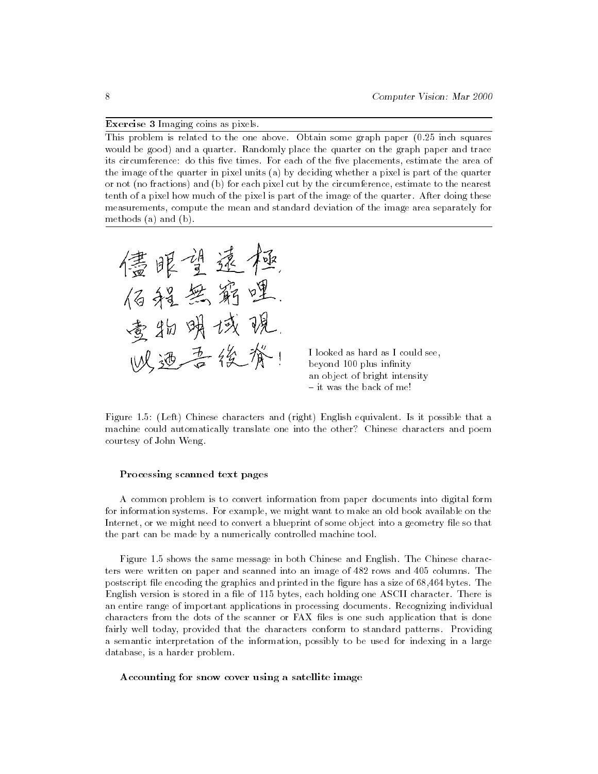#### Exercise 3 Imaging coins as pixels.

This problem is related to the one above. Obtain some graph paper (0.25 inch squares would be good) and a quarter. Randomly place the quarter on the graph paper and trace its circumference: do this five times. For each of the five placements, estimate the area of the image of the quarter in pixel units (a) by deciding whether a pixel is part of the quarter or not (no fractions) and (b) for each pixel cut by the circumference, estimate to the nearest tenth of a pixel how much of the pixel is part of the image of the quarter. After doing these measurements, compute the mean and standard deviation of the image area separately for methods (a) and (b).



I looked as hard as I could see, beyond 100 plus infinity an object of bright intensity { it was the back of me!

Figure 1.5: (Left) Chinese characters and (right) English equivalent. Is it possible that a machine could automatically translate one into the other? Chinese characters and poem courtesy of John Weng.

#### Processing scanned text pages

A common problem is to convert information from paper documents into digital form for information systems. For example, we might want to make an old book available on the Internet, or we might need to convert a blueprint of some object into a geometry file so that the part can be made by a numerically controlled machine tool.

Figure 1.5 shows the same message in both Chinese and English. The Chinese characters were written on paper and scanned into an image of 482 rows and 405 columns. The postscript file encoding the graphics and printed in the figure has a size of 68,464 bytes. The English version is stored in a file of 115 bytes, each holding one ASCII character. There is an entire range of important applications in processing documents. Recognizing individual characters from the dots of the scanner or FAX les is one such application that is done fairly well today, provided that the characters conform to standard patterns. Providing a semantic interpretation of the information, possibly to be used for indexing in a large database, is a harder problem.

Accounting for snow cover using a satellite image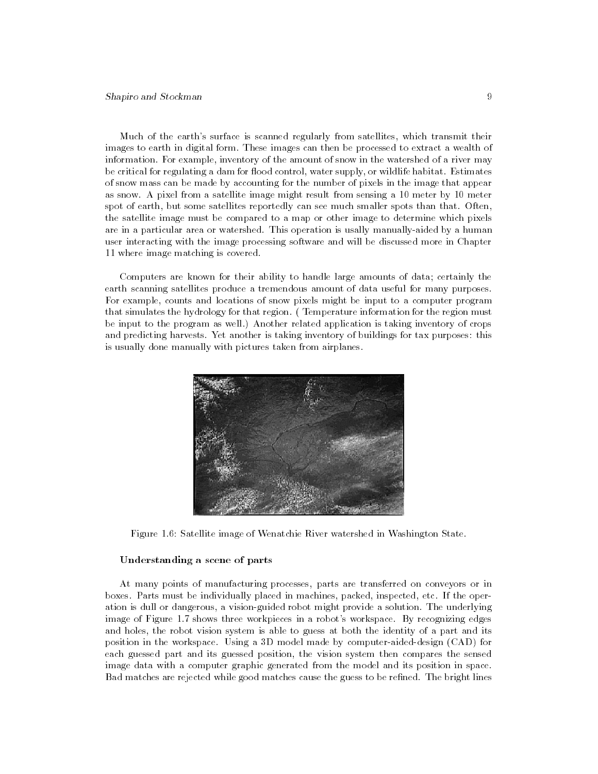Much of the earth's surface is scanned regularly from satellites, which transmit their images to earth in digital form. These images can then be processed to extract a wealth of information. For example, inventory of the amount of snow in the watershed of a river may be critical for regulating a dam for flood control, water supply, or wildlife habitat. Estimates of snow mass can be made by accounting for the number of pixels in the image that appear as snow. A pixel from a satellite image might result from sensing a 10 meter by 10 meter spot of earth, but some satellites reportedly can see much smaller spots than that. Often, the satellite image must be compared to a map or other image to determine which pixels are in a particular area or watershed. This operation is usally manually-aided byahuman user interacting with the image processing software and will be discussed more in Chapter 11 where image matching is covered.

Computers are known for their ability to handle large amounts of data; certainly the earth scanning satellites produce a tremendous amount of data useful for many purposes. For example, counts and locations of snow pixels might be input to a computer program that simulates the hydrology for that region. ( Temperature information for the region must be input to the program as well.) Another related application is taking inventory of crops and predicting harvests. Yet another is taking inventory of buildings for tax purposes: this is usually done manually with pictures taken from airplanes.



Figure 1.6: Satellite image of Wenatchie River watershed in Washington State.

#### Understanding a scene of parts

At many points of manufacturing processes, parts are transferred on conveyors or in boxes. Parts must be individually placed in machines, packed, inspected, etc. If the operation is dull or dangerous, a vision-guided robot might provide a solution. The underlying image of Figure 1.7 shows three workpieces in a robot's workspace. By recognizing edges and holes, the robot vision system is able to guess at both the identity of a part and its position in the workspace. Using a 3D model made by computer-aided-design (CAD) for each guessed part and its guessed position, the vision system then compares the sensed image data with a computer graphic generated from the model and its position in space. Bad matches are rejected while good matches cause the guess to be refined. The bright lines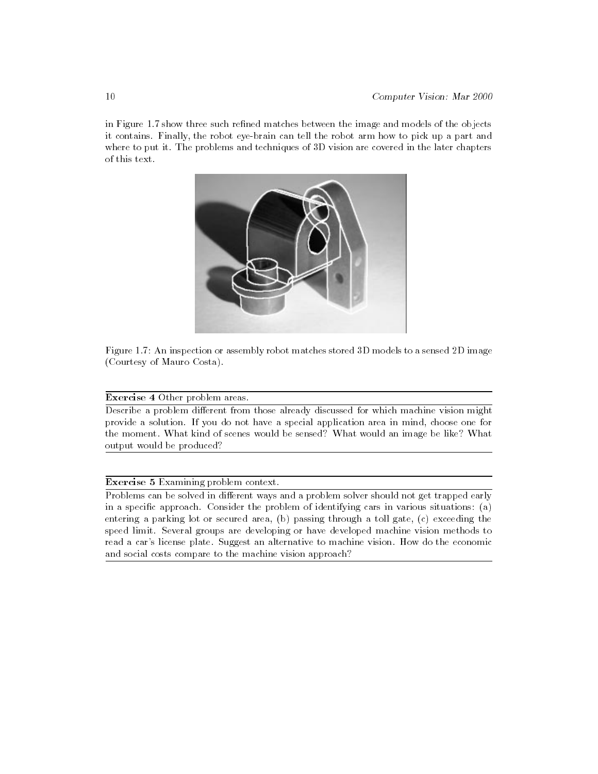in Figure 1.7 show three such refined matches between the image and models of the objects it contains. Finally, the robot eye-brain can tell the robot arm how to pick up a part and where to put it. The problems and techniques of 3D vision are covered in the later chapters of this text.





#### Exercise 4 Other problem areas.

Describe a problem different from those already discussed for which machine vision might provide a solution. If you do not have a special application area in mind, choose one for the moment. What kind of scenes would be sensed? What would an image be like? What output would be produced?

#### Exercise 5 Examining problem context.

Problems can be solved in different ways and a problem solver should not get trapped early in a specific approach. Consider the problem of identifying cars in various situations: (a) entering a parking lot or secured area, (b) passing through a toll gate, (c) exceeding the speed limit. Several groups are developing or have developed machine vision methods to read a car's license plate. Suggest an alternative to machine vision. How do the economic and social costs compare to the machine vision approach?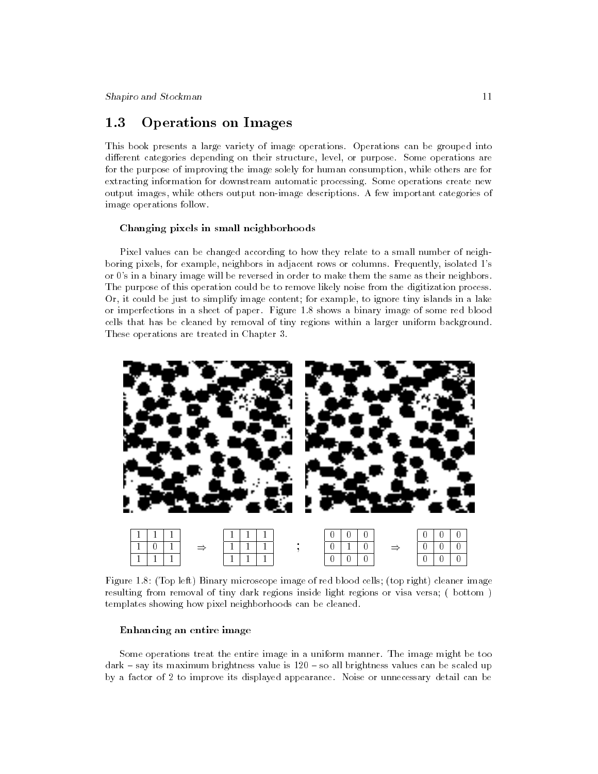# 1.3 Operations on Images

This book presents a large variety of image operations. Operations can be grouped into different categories depending on their structure, level, or purpose. Some operations are for the purpose of improving the image solely for human consumption, while others are for extracting information for downstream automatic processing. Some operations create new output images, while others output non-image descriptions. A few important categories of image operations follow.

#### Changing pixels in small neighborhoods

Pixel values can be changed according to how they relate to a small number of neighboring pixels, for example, neighbors in adjacent rows or columns. Frequently, isolated 1's or 0's in a binary image will be reversed in order to make them the same as their neighbors. The purpose of this operation could be to remove likely noise from the digitization process. Or, it could be just to simplify image content; for example, to ignore tiny islands in a lake or imperfections in a sheet of paper. Figure 1.8 shows a binary image of some red blood cells that has be cleaned by removal of tiny regions within a larger uniform background. These operations are treated in Chapter 3.



Figure 1.8: (Top left) Binary microscope image of red blood cells; (top right) cleaner image resulting from removal of tiny dark regions inside light regions or visa versa; ( bottom ) templates showing how pixel neighborhoods can be cleaned.

#### Enhancing an entire image

Some operations treat the entire image in a uniform manner. The image might be too  $dark - say$  its maximum brightness value is  $120 - so$  all brightness values can be scaled up by a factor of 2 to improve its displayed appearance. Noise or unnecessary detail can be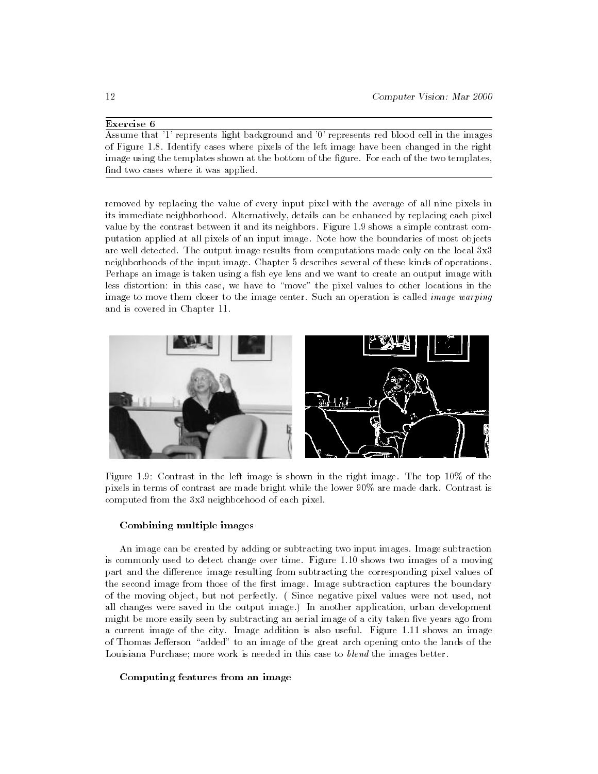### Exercise 6

Assume that '1' represents light background and '0' represents red blood cell in the images of Figure 1.8. Identify cases where pixels of the left image have been changed in the right image using the templates shown at the bottom of the figure. For each of the two templates, find two cases where it was applied.

removed by replacing the value of every input pixel with the average of all nine pixels in its immediate neighborhood. Alternatively, details can be enhanced by replacing each pixel value by the contrast between it and its neighbors. Figure 1.9 shows a simple contrast computation applied at all pixels of an input image. Note how the boundaries of most objects are well detected. The output image results from computations made only on the local 3x3 neighborhoods of the input image. Chapter 5 describes several of these kinds of operations. Perhaps an image is taken using a fish eye lens and we want to create an output image with less distortion: in this case, we have to \move" the pixel values to other locations in the image to move them closer to the image center. Such an operation is called *image warping* and is covered in Chapter 11.



Figure 1.9: Contrast in the left image is shown in the right image. The top 10% of the pixels in terms of contrast are made bright while the lower 90% are made dark. Contrast is computed from the 3x3 neighborhood of each pixel.

#### Combining multiple images

An image can be created by adding or subtracting two input images. Image subtraction is commonly used to detect change over time. Figure 1.10 shows two images of a moving part and the difference image resulting from subtracting the corresponding pixel values of the second image from those of the first image. Image subtraction captures the boundary of the moving object, but not perfectly. ( Since negative pixel values were not used, not all changes were saved in the output image.) In another application, urban development might be more easily seen by subtracting an aerial image of a city taken five years ago from a current image of the city. Image addition is also useful. Figure 1.11 shows an image of Thomas Jefferson "added" to an image of the great arch opening onto the lands of the Louisiana Purchase; more work is needed in this case to blend the images better.

Computing features from an image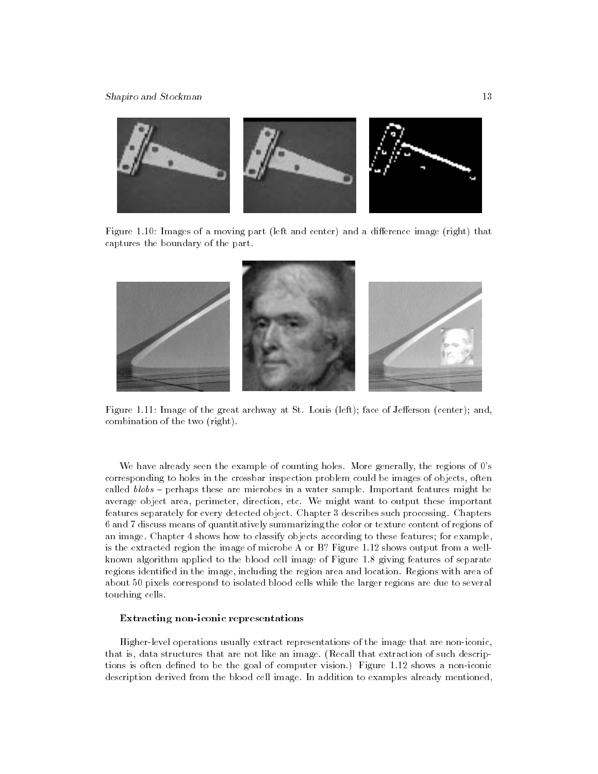

Figure 1.10: Images of a moving part (left and center) and a difference image (right) that captures the boundary of the part.



Figure 1.11: Image of the great archway at St. Louis (left); face of Jefferson (center); and, combination of the two (right).

We have already seen the example of counting holes. More generally, the regions of 0's corresponding to holes in the crossbar inspection problem could be images of objects, often called  $\textit{blobs}$  - perhaps these are microbes in a water sample. Important features might be average object area, perimeter, direction, etc. We might want to output these important features separately for every detected object. Chapter 3 describes such processing. Chapters 6 and 7 discuss means of quantitatively summarizing the color or texture content of regions of an image. Chapter 4 shows how to classify objects according to these features; for example, is the extracted region the image of microbe A or B? Figure 1.12 shows output from a wellknown algorithm applied to the blood cell image of Figure 1.8 giving features of separate regions identified in the image, including the region area and location. Regions with area of about 50 pixels correspond to isolated blood cells while the larger regions are due to several touching cells.

#### Extracting non-iconic representations

Higher-level operations usually extract representations of the image that are non-iconic, that is, data structures that are not like an image. (Recall that extraction of such descriptions is often defined to be the goal of computer vision.) Figure 1.12 shows a non-iconic description derived from the blood cell image. In addition to examples already mentioned,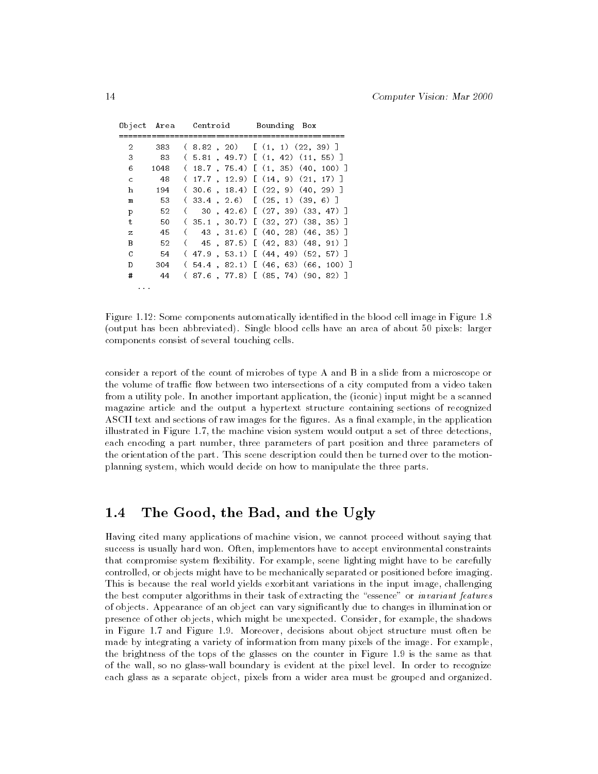|              |      | Object Area - Centroid | Bounding Box                              |
|--------------|------|------------------------|-------------------------------------------|
| 2            | 383  |                        | $(8.82, 20)$ $(1, 1)$ $(22, 39)$ ]        |
| 3            | - 83 |                        | $(5.81, 49.7)$ $(1, 42)$ $(11, 55)$ 1     |
| 6            | 1048 |                        | $(18.7, 75.4)$ $(1, 35)$ $(40, 100)$ ]    |
| $\mathsf{C}$ | - 48 |                        | $(17.7 \t12.9)$ $(14.9)$ $(21.17)$ ]      |
| h            | 194  |                        | $(30.6, 18.4)$ $(22, 9)$ $(40, 29)$ ]     |
| m            | 53   |                        | $(33.4, 2.6)$ $(25, 1)$ $(39, 6)$         |
| p            | -52  |                        | $(30, 42.6)$ $(27, 39)$ $(33, 47)$ 1      |
| $\ddagger$   | 50   |                        | $(35.1, 30.7)$ $(32, 27)$ $(38, 35)$ ]    |
| z            | 45   |                        | 43, 31.6) [ (40, 28) (46, 35) ]           |
| B            | 52   |                        | 45 (87.5) [ (42, 83) (48, 91) ]           |
| C            | - 54 |                        | $(47.9, 53.1)$ $(44, 49)$ $(52, 57)$ ]    |
| D            | 304  |                        | $(54.4 \t 82.1)$ $(46.63)$ $(66.100)$ ]   |
| #            | - 44 |                        | $(87.6 \t, 77.8)$ [ $(85.74)$ $(90.82)$ ] |
| .            |      |                        |                                           |

Figure 1.12: Some components automatically identied in the blood cell image in Figure 1.8 (output has been abbreviated). Single blood cells have an area of about 50 pixels: larger components consist of several touching cells.

consider a report of the count of microbes of type A and B in a slide from a microscope or the volume of traffic flow between two intersections of a city computed from a video taken from a utility pole. In another important application, the (iconic) input might be a scanned magazine article and the output a hypertext structure containing sections of recognized ASCII text and sections of raw images for the figures. As a final example, in the application illustrated in Figure 1.7, the machine vision system would output a set of three detections, each encoding a part number, three parameters of part position and three parameters of the orientation of the part. This scene description could then be turned over to the motionplanning system, which would decide on how to manipulate the three parts.

#### The Good, the Bad, and the Ugly  $1.4$

Having cited many applications of machine vision, we cannot proceed without saying that success is usually hard won. Often, implementors have to accept environmental constraints that compromise system flexibility. For example, scene lighting might have to be carefully controlled, or objects might have to be mechanically separated or positioned before imaging. This is because the real world yields exorbitant variations in the input image, challenging the best computer algorithms in their task of extracting the "essence" or *invariant features* of objects. Appearance of an object can vary signicantly due to changes in illumination or presence of other objects, which might be unexpected. Consider, for example, the shadows in Figure 1.7 and Figure 1.9. Moreover, decisions about object structure must often be made by integrating a variety of information from many pixels of the image. For example, the brightness of the tops of the glasses on the counter in Figure 1.9 is the same as that of the wall, so no glass-wall boundary is evident at the pixel level. In order to recognize each glass as a separate object, pixels from a wider area must be grouped and organized.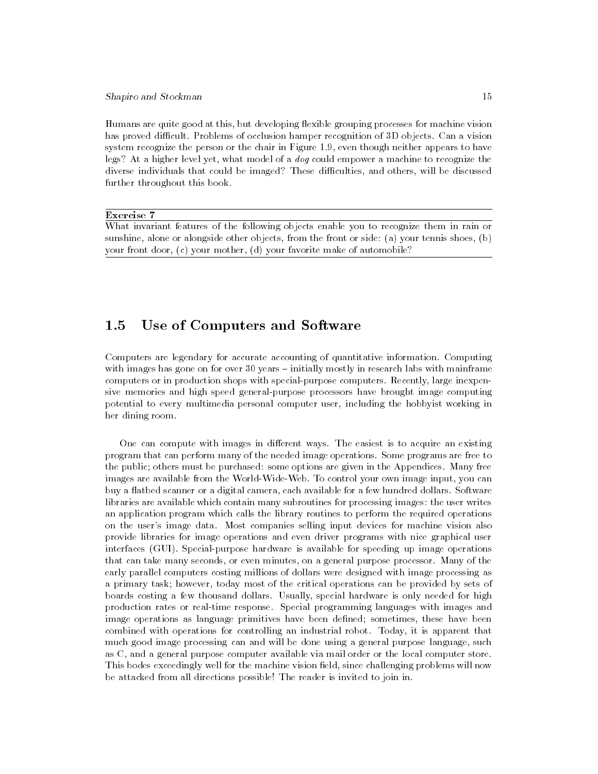#### Shapiro and Stockman 15

Humans are quite good at this, but developing flexible grouping processes for machine vision has proved difficult. Problems of occlusion hamper recognition of 3D objects. Can a vision system recognize the person or the chair in Figure 1.9, even though neither appears to have legs? At a higher level yet, what model of a dog could empower a machine to recognize the diverse individuals that could be imaged? These difficulties, and others, will be discussed further throughout this book.

#### Exercise 7

What invariant features of the following objects enable you to recognize them in rain or sunshine, alone or alongside other objects, from the front or side: (a) your tennis shoes, (b) your front door, (c) your mother, (d) your favorite make of automobile?

#### $1.5$ Use of Computers and Software

Computers are legendary for accurate accounting of quantitative information. Computing with images has gone on for over  $30$  years  $-$  initially mostly in research labs with mainframe computers or in production shops with special-purpose computers. Recently, large inexpensive memories and high speed general-purpose processors have brought image computing potential to every multimedia personal computer user, including the hobbyist working in her dining room.

One can compute with images in different ways. The easiest is to acquire an existing program that can perform many of the needed image operations. Some programs are free to the public; others must be purchased: some options are given in the Appendices. Many free images are available from the World-Wide-Web. To control your own image input, you can buy a flatbed scanner or a digital camera, each available for a few hundred dollars. Software libraries are available which contain many subroutines for processing images: the user writes an application program which calls the library routines to perform the required operations on the user's image data. Most companies selling input devices for machine vision also provide libraries for image operations and even driver programs with nice graphical user interfaces (GUI). Special-purpose hardware is available for speeding up image operations that can take many seconds, or even minutes, on a general purpose processor. Many of the early parallel computers costing millions of dollars were designed with image processing as a primary task; however, today most of the critical operations can be provided by sets of boards costing a few thousand dollars. Usually, special hardware is only needed for high production rates or real-time response. Special programming languages with images and image operations as language primitives have been defined; sometimes, these have been combined with operations for controlling an industrial robot. Today, it is apparent that much good image processing can and will be done using a general purpose language, such as C, and a general purpose computer available via mail order or the local computer store. This bodes exceedingly well for the machine vision field, since challenging problems will now be attacked from all directions possible! The reader is invited to join in.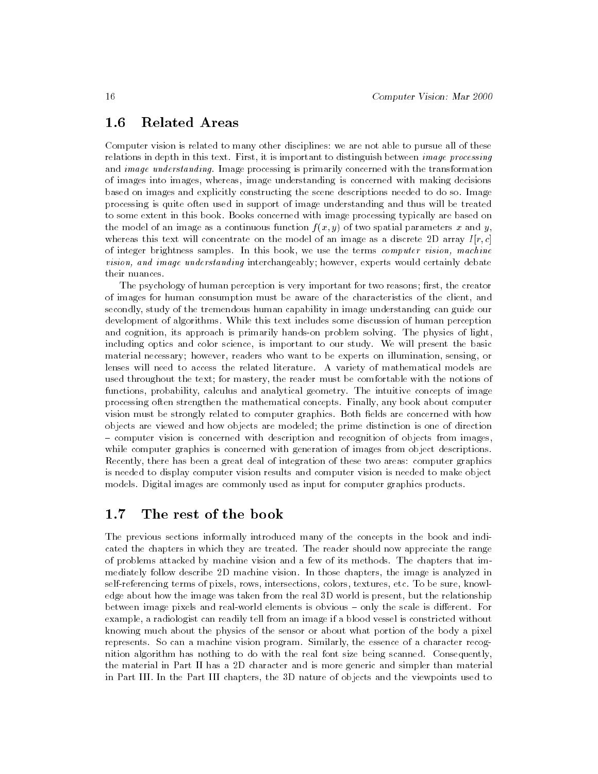## 1.6 Related Areas

Computer vision is related to many other disciplines: we are not able to pursue all of these relations in depth in this text. First, it is important to distinguish between image processing and *image understanding*. Image processing is primarily concerned with the transformation of images into images, whereas, image understanding is concerned with making decisions based on images and explicitly constructing the scene descriptions needed to do so. Image processing is quite often used in support of image understanding and thus will be treated to some extent in this book. Books concerned with image processing typically are based on the model of an image as a continuous function  $f(x, y)$  of two spatial parameters x and y, whereas this text will concentrate on the model of an image as a discrete 2D array  $I[r, c]$ of integer brightness samples. In this book, we use the terms computer vision, machine vision, and image understanding interchangeably; however, experts would certainly debate their nuances.

The psychology of human perception is very important for two reasons; first, the creator of images for human consumption must be aware of the characteristics of the client, and secondly, study of the tremendous human capability in image understanding can guide our development of algorithms. While this text includes some discussion of human perception and cognition, its approach is primarily hands-on problem solving. The physics of light, including optics and color science, is important to our study. We will present the basic material necessary; however, readers who want to be experts on illumination, sensing, or lenses will need to access the related literature. A variety of mathematical models are used throughout the text; for mastery, the reader must be comfortable with the notions of functions, probability, calculus and analytical geometry. The intuitive concepts of image processing often strengthen the mathematical concepts. Finally, any book about computer vision must be strongly related to computer graphics. Both fields are concerned with how objects are viewed and how objects are modeled; the prime distinction is one of direction { computer vision is concerned with description and recognition of objects from images, while computer graphics is concerned with generation of images from object descriptions. Recently, there has been a great deal of integration of these two areas: computer graphics is needed to display computer vision results and computer vision is needed to make object models. Digital images are commonly used as input for computer graphics products.

## 1.7 The rest of the book

The previous sections informally introduced many of the concepts in the book and indicated the chapters in which they are treated. The reader should now appreciate the range of problems attacked by machine vision and a few of its methods. The chapters that immediately follow describe 2D machine vision. In those chapters, the image is analyzed in self-referencing terms of pixels, rows, intersections, colors, textures, etc. To be sure, knowledge about how the image was taken from the real 3D world is present, but the relationship between image pixels and real-world elements is obvious - only the scale is different. For example, a radiologist can readily tell from an image if a blood vessel is constricted without knowing much about the physics of the sensor or about what portion of the body a pixel represents. So can a machine vision program. Similarly, the essence of a character recognition algorithm has nothing to do with the real font size being scanned. Consequently, the material in Part II has a 2D character and is more generic and simpler than material in Part III. In the Part III chapters, the 3D nature of objects and the viewpoints used to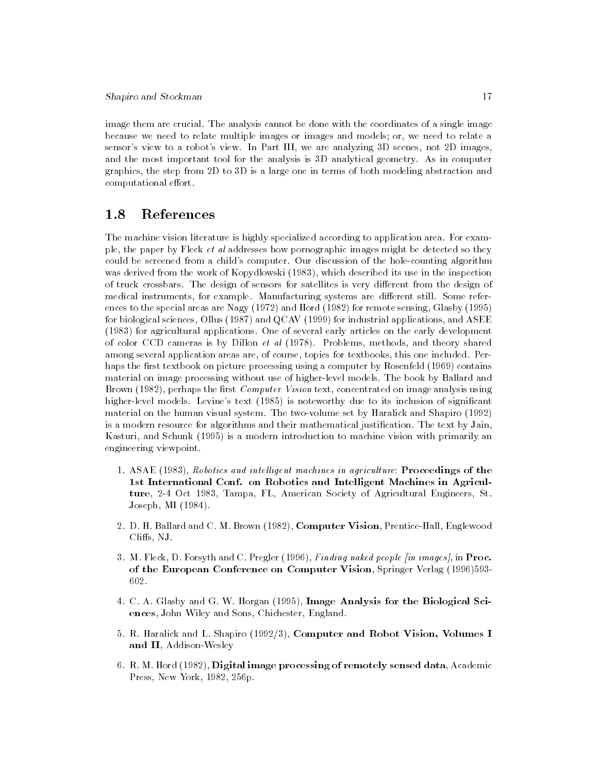image them are crucial. The analysis cannot be done with the coordinates of a single image because we need to relate multiple images or images and models; or, we need to relate a sensor's view to a robot's view. In Part III, we are analyzing 3D scenes, not 2D images, and the most important tool for the analysis is 3D analytical geometry. As in computer graphics, the step from 2D to 3D is a large one in terms of both modeling abstraction and computational effort.

## 1.8 References

The machine vision literature is highly specialized according to application area. For example, the paper by Fleck  $et$  al addresses how pornographic images might be detected so they could be screened from a child's computer. Our discussion of the hole-counting algorithm was derived from the work of Kopydlowski (1983), which described its use in the inspection of truck crossbars. The design of sensors for satellites is very different from the design of medical instruments, for example. Manufacturing systems are different still. Some references to the special areas are Nagy (1972) and Hord (1982) for remote sensing, Glasby (1995) for biological sciences, Ollus (1987) and QCAV (1999) for industrial applications, and ASEE (1983) for agricultural applications. One of several early articles on the early development of color CCD cameras is by Dillon et al (1978). Problems, methods, and theory shared among several application areas are, of course, topics for textbooks, this one included. Perhaps the first textbook on picture processing using a computer by Rosenfeld (1969) contains material on image processing without use of higher-level models. The book by Ballard and Brown (1982), perhaps the first *Computer Vision* text, concentrated on image analysis using higher-level models. Levine's text (1985) is noteworthy due to its inclusion of significant material on the human visual system. The two-volume set by Haralick and Shapiro (1992) is a modern resource for algorithms and their mathematical justification. The text by Jain, Kasturi, and Schunk (1995) is a modern introduction to machine vision with primarily an engineering viewpoint.

- 1. ASAE (1983), Robotics and intelligent machines in agriculture: Proceedings of the 1st International Conf. on Robotics and Intelligent Machines in Agriculture, 2-4 Oct 1983, Tampa, FL, American Society of Agricultural Engineers, St. Joseph, MI (1984).
- 2. D. H. Ballard and C. M. Brown (1982), Computer Vision, Prentice-Hall, Englewood Cliffs, NJ.
- 3. M. Fleck, D. Forsyth and C. Pregler (1996), Finding naked people [in images], in Proc. of the European Conference on Computer Vision, Springer Verlag (1996)593- 602.
- 4. C. A. Glasby and G. W. Horgan (1995), Image Analysis for the Biological Sciences, John Wiley and Sons, Chichester, England.
- 5. R. Haralick and L. Shapiro (1992/3), Computer and Robot Vision, Volumes I and II, Addison-Wesley
- 6. R. M. Hord (1982), Digital image processing of remotely sensed data, Academic Press, New York, 1982, 256p.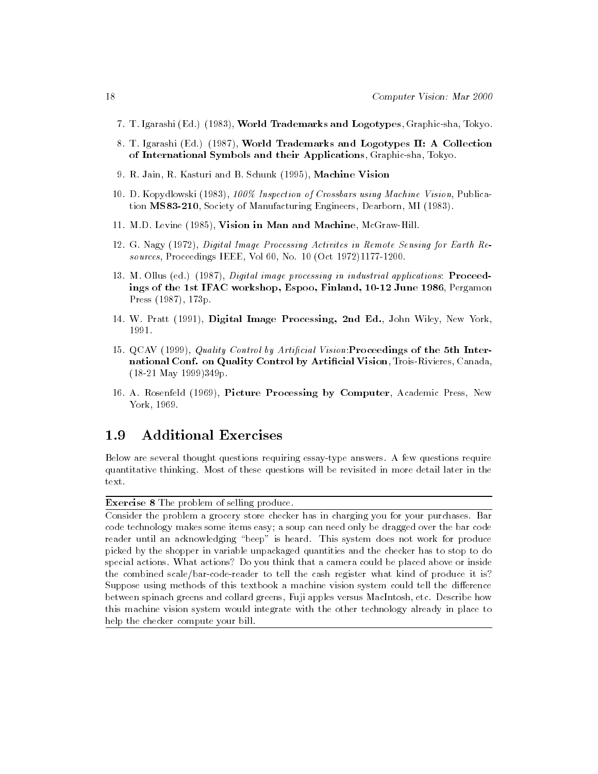- 7. T. Igarashi (Ed.) (1983), World Trademarks and Logotypes, Graphic-sha, Tokyo.
- 8. T. Igarashi (Ed.) (1987), World Trademarks and Logotypes II: A Collection of International Symbols and their Applications, Graphic-sha, Tokyo.
- 9. R. Jain, R. Kasturi and B. Schunk (1995), Machine Vision
- 10. D. Kopydlowski (1983), 100% Inspection of Crossbars using Machine Vision, Publication MS83-210, Society of Manufacturing Engineers, Dearborn, MI (1983).
- 11. M.D. Levine (1985), Vision in Man and Machine, McGraw-Hill.
- 12. G. Nagy (1972), Digital Image Processing Activites in Remote Sensing for Earth Resources, Proceedings IEEE, Vol 60, No. 10 (Oct 1972)1177-1200.
- 13. M. Ollus (ed.) (1987), Digital image processing in industrial applications: Proceedings of the 1st IFAC workshop, Espoo, Finland, 10-12 June 1986, Pergamon Press (1987), 173p.
- 14. W. Pratt (1991), Digital Image Processing, 2nd Ed., John Wiley, New York, 1991.
- 15. QCAV (1999), Quality Control by Artificial Vision: Proceedings of the 5th International Conf. on Quality Control by Artificial Vision, Trois-Rivieres, Canada, (18-21 May 1999)349p.
- 16. A. Rosenfeld (1969), Picture Processing by Computer, Academic Press, New York, 1969.

#### 1.9 1.9 Additional Exercises

Below are several thought questions requiring essay-type answers. A few questions require quantitative thinking. Most of these questions will be revisited in more detail later in the text.

Exercise 8 The problem of selling produce.

Consider the problem a grocery store checker has in charging you for your purchases. Bar code technology makes some items easy; a soup can need only be dragged over the bar code reader until an acknowledging "beep" is heard. This system does not work for produce picked by the shopper in variable unpackaged quantities and the checker has to stop to do special actions. What actions? Do you think that a camera could be placed above or inside the combined scale/bar-code-reader to tell the cash register what kind of produce it is? Suppose using methods of this textbook a machine vision system could tell the difference between spinach greens and collard greens, Fuji apples versus MacIntosh, etc. Describe how this machine vision system would integrate with the other technology already in place to help the checker compute your bill.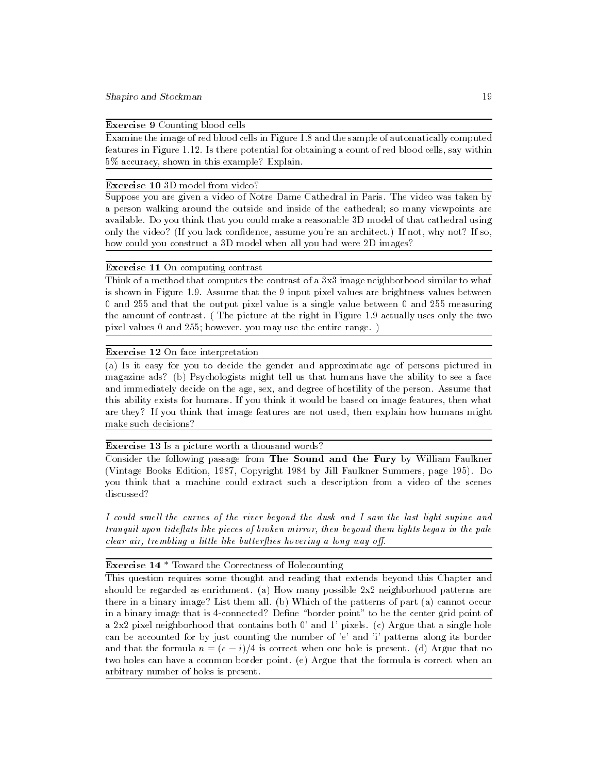## Exercise 9 Counting blood cells

Examine the image of red blood cells in Figure 1.8 and the sample of automatically computed features in Figure 1.12. Is there potential for obtaining a count of red blood cells, say within 5% accuracy, shown in this example? Explain.

#### Exercise 10 3D model from video?

Suppose you are given a video of Notre Dame Cathedral in Paris. The video was taken by a person walking around the outside and inside of the cathedral; so many viewpoints are available. Do you think that you could make a reasonable 3D model of that cathedral using only the video? (If you lack condence, assume you're an architect.) If not, why not? If so, how could you construct a 3D model when all you had were 2D images?

#### Exercise 11 On computing contrast

Think of a method that computes the contrast of a 3x3 image neighborhood similar to what is shown in Figure 1.9. Assume that the 9 input pixel values are brightness values between 0 and 255 and that the output pixel value is a single value between 0 and 255 measuring the amount of contrast. ( The picture at the right in Figure 1.9 actually uses only the two pixel values 0 and 255; however, you may use the entire range. )

#### Exercise 12 On face interpretation

(a) Is it easy for you to decide the gender and approximate age of persons pictured in magazine ads? (b) Psychologists might tell us that humans have the ability to see a face and immediately decide on the age, sex, and degree of hostility of the person. Assume that this ability exists for humans. If you think it would be based on image features, then what are they? If you think that image features are not used, then explain how humans might make such decisions?

#### Exercise 13 Is a picture worth a thousand words?

Consider the following passage from The Sound and the Fury by William Faulkner (Vintage Books Edition, 1987, Copyright 1984 by Jill Faulkner Summers, page 195). Do you think that a machine could extract such a description from a video of the scenes discussed?

I could smell the curves of the river beyond the dusk and I saw the last light supine and tranguil upon tideflats like pieces of broken mirror, then beyond them lights began in the pale  $clear\ air, \ trembling\ a\ little\ like\ but terflies\ hovering\ a\ long\ way\ off.$ 

### Exercise 14 \* Toward the Correctness of Holecounting

This question requires some thought and reading that extends beyond this Chapter and should be regarded as enrichment. (a) How many possible 2x2 neighborhood patterns are there in a binary image? List them all. (b) Which of the patterns of part (a) cannot occur in a binary image that is 4-connected? Define "border point" to be the center grid point of a 2x2 pixel neighborhood that contains both 0' and 1' pixels. (c) Argue that a single hole can be accounted for by just counting the number of 'e' and 'i' patterns along its border and that the formula  $n = (e - i)/4$  is correct when one hole is present. (d) Argue that no two holes can have a common border point. (e) Argue that the formula is correct when an arbitrary number of holes is present.